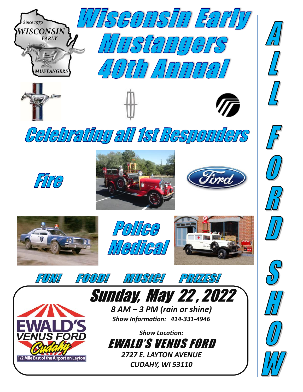